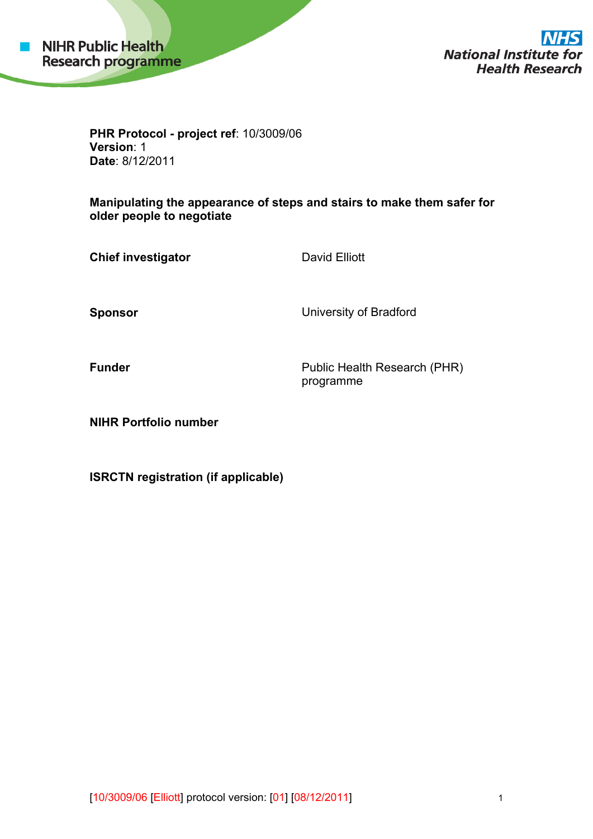

**National Institute for Health Research** 

**PHR Protocol - project ref**: 10/3009/06 **Version**: 1 **Date**: 8/12/2011

**Manipulating the appearance of steps and stairs to make them safer for older people to negotiate**

**Chief investigator David Elliott** 

**Sponsor University of Bradford** 

**Funder Public Health Research (PHR)** programme

**NIHR Portfolio number** 

**ISRCTN registration (if applicable)**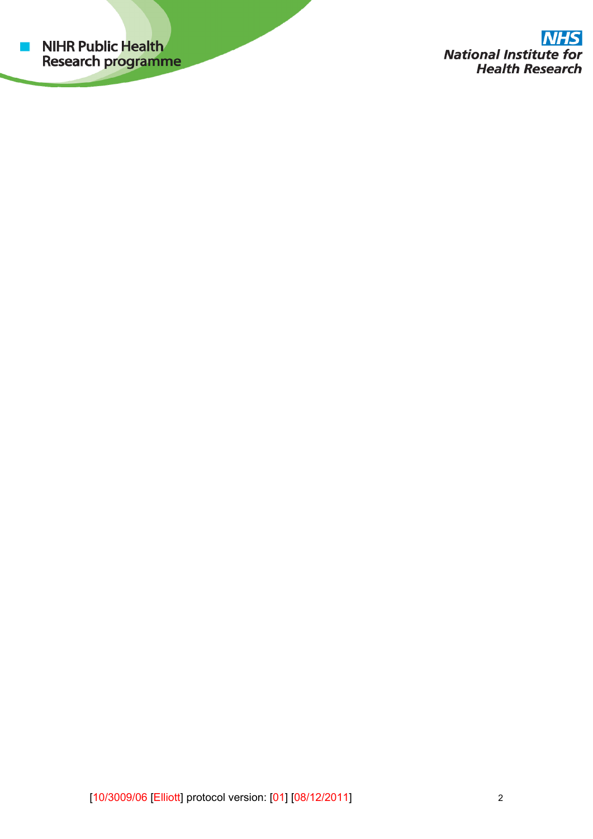

SI **National Institute for Health Research**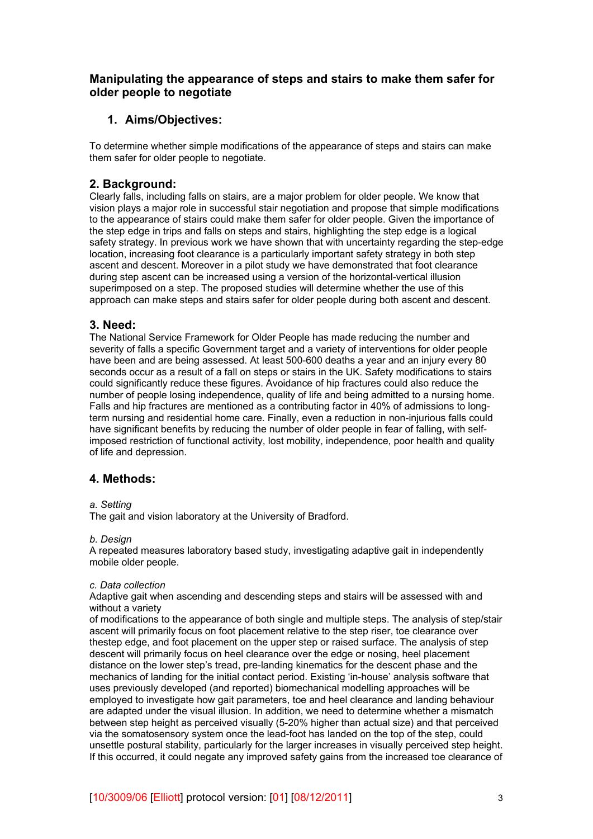## **Manipulating the appearance of steps and stairs to make them safer for older people to negotiate**

# **1. Aims/Objectives:**

To determine whether simple modifications of the appearance of steps and stairs can make them safer for older people to negotiate.

# **2. Background:**

Clearly falls, including falls on stairs, are a major problem for older people. We know that vision plays a major role in successful stair negotiation and propose that simple modifications to the appearance of stairs could make them safer for older people. Given the importance of the step edge in trips and falls on steps and stairs, highlighting the step edge is a logical safety strategy. In previous work we have shown that with uncertainty regarding the step-edge location, increasing foot clearance is a particularly important safety strategy in both step ascent and descent. Moreover in a pilot study we have demonstrated that foot clearance during step ascent can be increased using a version of the horizontal-vertical illusion superimposed on a step. The proposed studies will determine whether the use of this approach can make steps and stairs safer for older people during both ascent and descent.

### **3. Need:**

The National Service Framework for Older People has made reducing the number and severity of falls a specific Government target and a variety of interventions for older people have been and are being assessed. At least 500-600 deaths a year and an injury every 80 seconds occur as a result of a fall on steps or stairs in the UK. Safety modifications to stairs could significantly reduce these figures. Avoidance of hip fractures could also reduce the number of people losing independence, quality of life and being admitted to a nursing home. Falls and hip fractures are mentioned as a contributing factor in 40% of admissions to longterm nursing and residential home care. Finally, even a reduction in non-injurious falls could have significant benefits by reducing the number of older people in fear of falling, with selfimposed restriction of functional activity, lost mobility, independence, poor health and quality of life and depression.

# **4. Methods:**

### *a. Setting*

The gait and vision laboratory at the University of Bradford.

#### *b. Design*

A repeated measures laboratory based study, investigating adaptive gait in independently mobile older people.

#### *c. Data collection*

Adaptive gait when ascending and descending steps and stairs will be assessed with and without a variety

of modifications to the appearance of both single and multiple steps. The analysis of step/stair ascent will primarily focus on foot placement relative to the step riser, toe clearance over thestep edge, and foot placement on the upper step or raised surface. The analysis of step descent will primarily focus on heel clearance over the edge or nosing, heel placement distance on the lower step's tread, pre-landing kinematics for the descent phase and the mechanics of landing for the initial contact period. Existing 'in-house' analysis software that uses previously developed (and reported) biomechanical modelling approaches will be employed to investigate how gait parameters, toe and heel clearance and landing behaviour are adapted under the visual illusion. In addition, we need to determine whether a mismatch between step height as perceived visually (5-20% higher than actual size) and that perceived via the somatosensory system once the lead-foot has landed on the top of the step, could unsettle postural stability, particularly for the larger increases in visually perceived step height. If this occurred, it could negate any improved safety gains from the increased toe clearance of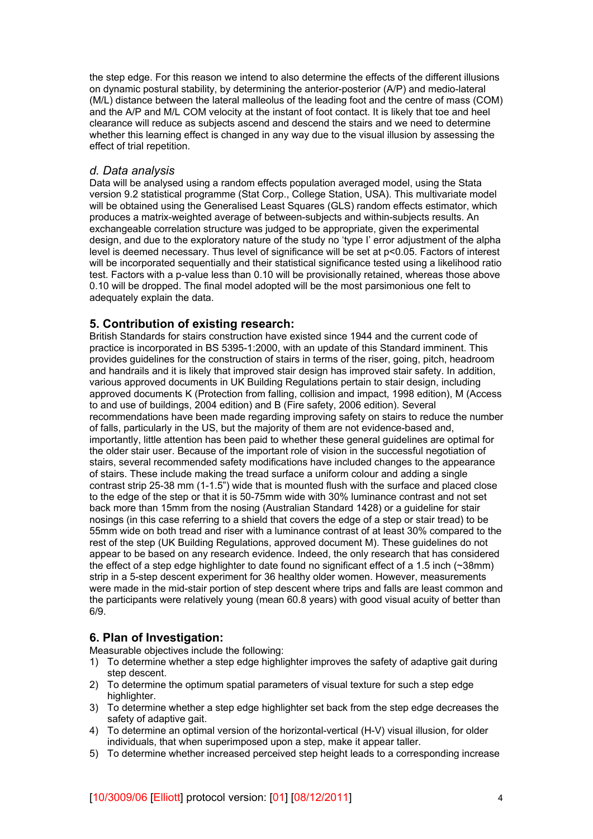the step edge. For this reason we intend to also determine the effects of the different illusions on dynamic postural stability, by determining the anterior-posterior (A/P) and medio-lateral (M/L) distance between the lateral malleolus of the leading foot and the centre of mass (COM) and the A/P and M/L COM velocity at the instant of foot contact. It is likely that toe and heel clearance will reduce as subjects ascend and descend the stairs and we need to determine whether this learning effect is changed in any way due to the visual illusion by assessing the effect of trial repetition.

### *d. Data analysis*

Data will be analysed using a random effects population averaged model, using the Stata version 9.2 statistical programme (Stat Corp., College Station, USA). This multivariate model will be obtained using the Generalised Least Squares (GLS) random effects estimator, which produces a matrix-weighted average of between-subjects and within-subjects results. An exchangeable correlation structure was judged to be appropriate, given the experimental design, and due to the exploratory nature of the study no 'type I' error adjustment of the alpha level is deemed necessary. Thus level of significance will be set at p<0.05. Factors of interest will be incorporated sequentially and their statistical significance tested using a likelihood ratio test. Factors with a p-value less than 0.10 will be provisionally retained, whereas those above 0.10 will be dropped. The final model adopted will be the most parsimonious one felt to adequately explain the data.

# **5. Contribution of existing research:**

British Standards for stairs construction have existed since 1944 and the current code of practice is incorporated in BS 5395-1:2000, with an update of this Standard imminent. This provides guidelines for the construction of stairs in terms of the riser, going, pitch, headroom and handrails and it is likely that improved stair design has improved stair safety. In addition, various approved documents in UK Building Regulations pertain to stair design, including approved documents K (Protection from falling, collision and impact, 1998 edition), M (Access to and use of buildings, 2004 edition) and B (Fire safety, 2006 edition). Several recommendations have been made regarding improving safety on stairs to reduce the number of falls, particularly in the US, but the majority of them are not evidence-based and, importantly, little attention has been paid to whether these general guidelines are optimal for the older stair user. Because of the important role of vision in the successful negotiation of stairs, several recommended safety modifications have included changes to the appearance of stairs. These include making the tread surface a uniform colour and adding a single contrast strip 25-38 mm (1-1.5") wide that is mounted flush with the surface and placed close to the edge of the step or that it is 50-75mm wide with 30% luminance contrast and not set back more than 15mm from the nosing (Australian Standard 1428) or a guideline for stair nosings (in this case referring to a shield that covers the edge of a step or stair tread) to be 55mm wide on both tread and riser with a luminance contrast of at least 30% compared to the rest of the step (UK Building Regulations, approved document M). These guidelines do not appear to be based on any research evidence. Indeed, the only research that has considered the effect of a step edge highlighter to date found no significant effect of a 1.5 inch (~38mm) strip in a 5-step descent experiment for 36 healthy older women. However, measurements were made in the mid-stair portion of step descent where trips and falls are least common and the participants were relatively young (mean 60.8 years) with good visual acuity of better than 6/9.

# **6. Plan of Investigation:**

Measurable objectives include the following:

- 1) To determine whether a step edge highlighter improves the safety of adaptive gait during step descent.
- 2) To determine the optimum spatial parameters of visual texture for such a step edge highlighter.
- 3) To determine whether a step edge highlighter set back from the step edge decreases the safety of adaptive gait.
- 4) To determine an optimal version of the horizontal-vertical (H-V) visual illusion, for older individuals, that when superimposed upon a step, make it appear taller.
- 5) To determine whether increased perceived step height leads to a corresponding increase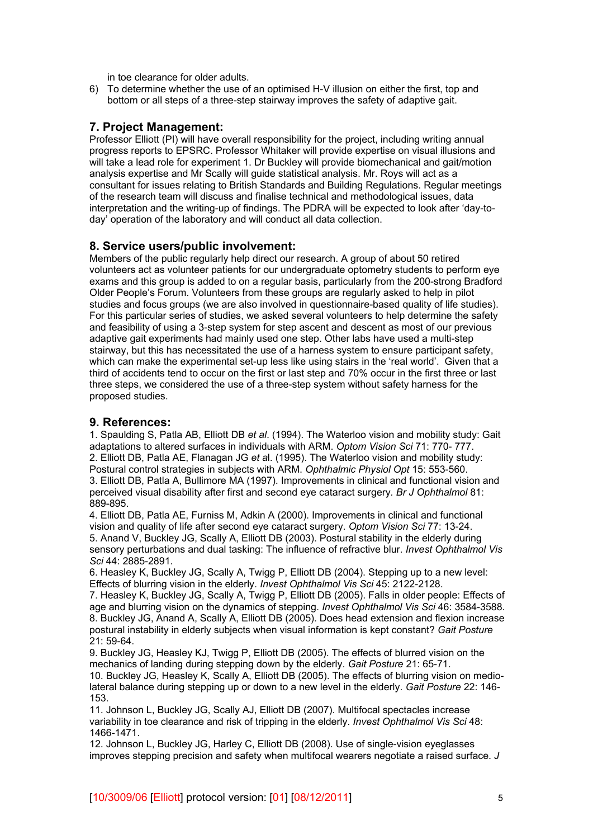in toe clearance for older adults.

6) To determine whether the use of an optimised H-V illusion on either the first, top and bottom or all steps of a three-step stairway improves the safety of adaptive gait.

### **7. Project Management:**

Professor Elliott (PI) will have overall responsibility for the project, including writing annual progress reports to EPSRC. Professor Whitaker will provide expertise on visual illusions and will take a lead role for experiment 1. Dr Buckley will provide biomechanical and gait/motion analysis expertise and Mr Scally will guide statistical analysis. Mr. Roys will act as a consultant for issues relating to British Standards and Building Regulations. Regular meetings of the research team will discuss and finalise technical and methodological issues, data interpretation and the writing-up of findings. The PDRA will be expected to look after 'day-today' operation of the laboratory and will conduct all data collection.

### **8. Service users/public involvement:**

Members of the public regularly help direct our research. A group of about 50 retired volunteers act as volunteer patients for our undergraduate optometry students to perform eye exams and this group is added to on a regular basis, particularly from the 200-strong Bradford Older People's Forum. Volunteers from these groups are regularly asked to help in pilot studies and focus groups (we are also involved in questionnaire-based quality of life studies). For this particular series of studies, we asked several volunteers to help determine the safety and feasibility of using a 3-step system for step ascent and descent as most of our previous adaptive gait experiments had mainly used one step. Other labs have used a multi-step stairway, but this has necessitated the use of a harness system to ensure participant safety, which can make the experimental set-up less like using stairs in the 'real world'. Given that a third of accidents tend to occur on the first or last step and 70% occur in the first three or last three steps, we considered the use of a three-step system without safety harness for the proposed studies.

### **9. References:**

1. Spaulding S, Patla AB, Elliott DB *et al*. (1994). The Waterloo vision and mobility study: Gait adaptations to altered surfaces in individuals with ARM. *Optom Vision Sci* 71: 770- 777. 2. Elliott DB, Patla AE, Flanagan JG *et a*l. (1995). The Waterloo vision and mobility study: Postural control strategies in subjects with ARM. *Ophthalmic Physiol Opt* 15: 553-560. 3. Elliott DB, Patla A, Bullimore MA (1997). Improvements in clinical and functional vision and perceived visual disability after first and second eye cataract surgery*. Br J Ophthalmol* 81: 889-895.

4. Elliott DB, Patla AE, Furniss M, Adkin A (2000). Improvements in clinical and functional vision and quality of life after second eye cataract surgery. *Optom Vision Sci* 77: 13-24. 5. Anand V, Buckley JG, Scally A, Elliott DB (2003). Postural stability in the elderly during sensory perturbations and dual tasking: The influence of refractive blur. *Invest Ophthalmol Vis Sci* 44: 2885-2891.

6. Heasley K, Buckley JG, Scally A, Twigg P, Elliott DB (2004). Stepping up to a new level: Effects of blurring vision in the elderly. *Invest Ophthalmol Vis Sci* 45: 2122-2128.

7. Heasley K, Buckley JG, Scally A, Twigg P, Elliott DB (2005). Falls in older people: Effects of age and blurring vision on the dynamics of stepping. *Invest Ophthalmol Vis Sci* 46: 3584-3588. 8. Buckley JG, Anand A, Scally A, Elliott DB (2005). Does head extension and flexion increase postural instability in elderly subjects when visual information is kept constant? *Gait Posture* 21: 59-64.

9. Buckley JG, Heasley KJ, Twigg P, Elliott DB (2005). The effects of blurred vision on the mechanics of landing during stepping down by the elderly. *Gait Posture* 21: 65-71.

10. Buckley JG, Heasley K, Scally A, Elliott DB (2005). The effects of blurring vision on mediolateral balance during stepping up or down to a new level in the elderly. *Gait Posture* 22: 146- 153.

11. Johnson L, Buckley JG, Scally AJ, Elliott DB (2007). Multifocal spectacles increase variability in toe clearance and risk of tripping in the elderly. *Invest Ophthalmol Vis Sci* 48: 1466-1471.

12. Johnson L, Buckley JG, Harley C, Elliott DB (2008). Use of single-vision eyeglasses improves stepping precision and safety when multifocal wearers negotiate a raised surface. *J*